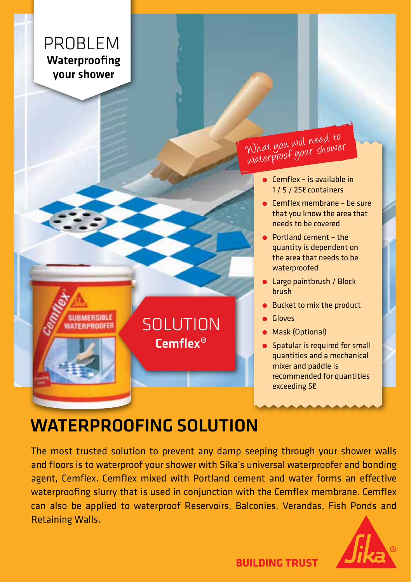### PROBLEM Waterproofing your shower

**RMFRSIRLE** 

What you will need to What you below shower

- $\bullet$  Cemflex is available in 1 / 5 / 25ℓ containers
- Cemflex membrane be sure that you know the area that needs to be covered
- Portland cement the quantity is dependent on the area that needs to be waterproofed
- **Large paintbrush / Block** brush
- Bucket to mix the product
- Gloves
- **Mask (Optional)**
- **Spatular is required for small** quantities and a mechanical mixer and paddle is recommended for quantities exceeding 5ℓ

# WATERPROOFING SOLUTION

Cemflex® **SOLUTION** 

The most trusted solution to prevent any damp seeping through your shower walls and floors is to waterproof your shower with Sika's universal waterproofer and bonding agent, Cemflex. Cemflex mixed with Portland cement and water forms an effective waterproofing slurry that is used in conjunction with the Cemflex membrane. Cemflex can also be applied to waterproof Reservoirs, Balconies, Verandas, Fish Ponds and Retaining Walls.



**BUILDING TRUST**